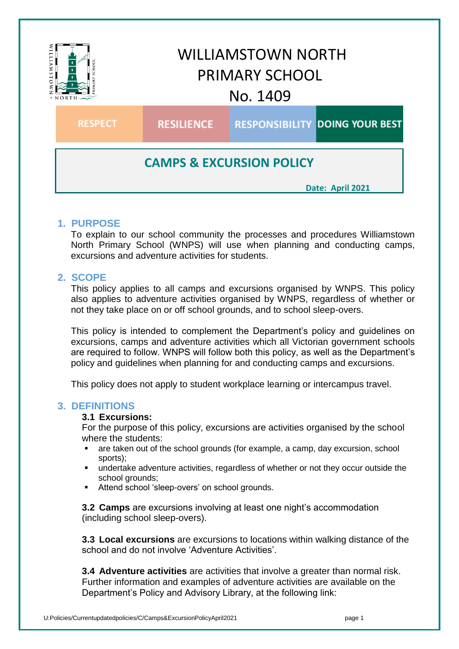

# **1. PURPOSE**

To explain to our school community the processes and procedures Williamstown North Primary School (WNPS) will use when planning and conducting camps, excursions and adventure activities for students.

# **2. SCOPE**

This policy applies to all camps and excursions organised by WNPS. This policy also applies to adventure activities organised by WNPS, regardless of whether or not they take place on or off school grounds, and to school sleep-overs.

This policy is intended to complement the Department's policy and guidelines on excursions, camps and adventure activities which all Victorian government schools are required to follow. WNPS will follow both this policy, as well as the Department's policy and guidelines when planning for and conducting camps and excursions.

This policy does not apply to student workplace learning or intercampus travel.

### **3. DEFINITIONS**

#### **3.1 Excursions:**

For the purpose of this policy, excursions are activities organised by the school where the students:

- are taken out of the school grounds (for example, a camp, day excursion, school sports);
- undertake adventure activities, regardless of whether or not they occur outside the school grounds:
- Attend school 'sleep-overs' on school grounds.

**3.2 Camps** are excursions involving at least one night's accommodation (including school sleep-overs).

**3.3 Local excursions** are excursions to locations within walking distance of the school and do not involve 'Adventure Activities'.

**3.4 Adventure activities** are activities that involve a greater than normal risk. Further information and examples of adventure activities are available on the Department's Policy and Advisory Library, at the following link: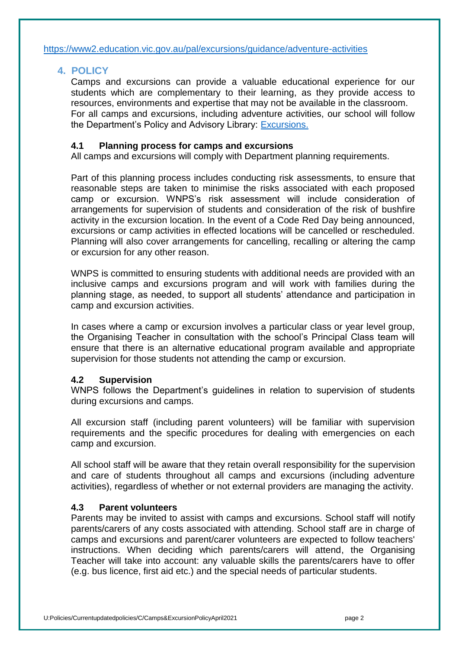## **4. POLICY**

Camps and excursions can provide a valuable educational experience for our students which are complementary to their learning, as they provide access to resources, environments and expertise that may not be available in the classroom. For all camps and excursions, including adventure activities, our school will follow the Department's Policy and Advisory Library: [Excursions.](https://www2.education.vic.gov.au/pal/excursions/policy)

### **4.1 Planning process for camps and excursions**

All camps and excursions will comply with Department planning requirements.

Part of this planning process includes conducting risk assessments, to ensure that reasonable steps are taken to minimise the risks associated with each proposed camp or excursion. WNPS's risk assessment will include consideration of arrangements for supervision of students and consideration of the risk of bushfire activity in the excursion location. In the event of a Code Red Day being announced, excursions or camp activities in effected locations will be cancelled or rescheduled. Planning will also cover arrangements for cancelling, recalling or altering the camp or excursion for any other reason.

WNPS is committed to ensuring students with additional needs are provided with an inclusive camps and excursions program and will work with families during the planning stage, as needed, to support all students' attendance and participation in camp and excursion activities.

In cases where a camp or excursion involves a particular class or year level group, the Organising Teacher in consultation with the school's Principal Class team will ensure that there is an alternative educational program available and appropriate supervision for those students not attending the camp or excursion.

### **4.2 Supervision**

WNPS follows the Department's guidelines in relation to supervision of students during excursions and camps.

All excursion staff (including parent volunteers) will be familiar with supervision requirements and the specific procedures for dealing with emergencies on each camp and excursion.

All school staff will be aware that they retain overall responsibility for the supervision and care of students throughout all camps and excursions (including adventure activities), regardless of whether or not external providers are managing the activity.

### **4.3 Parent volunteers**

Parents may be invited to assist with camps and excursions. School staff will notify parents/carers of any costs associated with attending. School staff are in charge of camps and excursions and parent/carer volunteers are expected to follow teachers' instructions. When deciding which parents/carers will attend, the Organising Teacher will take into account: any valuable skills the parents/carers have to offer (e.g. bus licence, first aid etc.) and the special needs of particular students.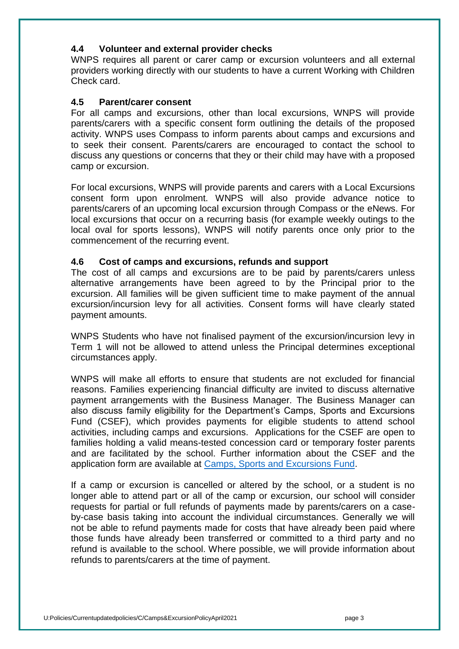### **4.4 Volunteer and external provider checks**

WNPS requires all parent or carer camp or excursion volunteers and all external providers working directly with our students to have a current Working with Children Check card.

### **4.5 Parent/carer consent**

For all camps and excursions, other than local excursions, WNPS will provide parents/carers with a specific consent form outlining the details of the proposed activity. WNPS uses Compass to inform parents about camps and excursions and to seek their consent. Parents/carers are encouraged to contact the school to discuss any questions or concerns that they or their child may have with a proposed camp or excursion.

For local excursions, WNPS will provide parents and carers with a Local Excursions consent form upon enrolment. WNPS will also provide advance notice to parents/carers of an upcoming local excursion through Compass or the eNews. For local excursions that occur on a recurring basis (for example weekly outings to the local oval for sports lessons), WNPS will notify parents once only prior to the commencement of the recurring event.

### **4.6 Cost of camps and excursions, refunds and support**

The cost of all camps and excursions are to be paid by parents/carers unless alternative arrangements have been agreed to by the Principal prior to the excursion. All families will be given sufficient time to make payment of the annual excursion/incursion levy for all activities. Consent forms will have clearly stated payment amounts.

WNPS Students who have not finalised payment of the excursion/incursion levy in Term 1 will not be allowed to attend unless the Principal determines exceptional circumstances apply.

WNPS will make all efforts to ensure that students are not excluded for financial reasons. Families experiencing financial difficulty are invited to discuss alternative payment arrangements with the Business Manager. The Business Manager can also discuss family eligibility for the Department's Camps, Sports and Excursions Fund (CSEF), which provides payments for eligible students to attend school activities, including camps and excursions. Applications for the CSEF are open to families holding a valid means-tested concession card or temporary foster parents and are facilitated by the school. Further information about the CSEF and the application form are available at [Camps, Sports and Excursions Fund.](https://www2.education.vic.gov.au/pal/camps-sports-and-excursions-fund/policy)

If a camp or excursion is cancelled or altered by the school, or a student is no longer able to attend part or all of the camp or excursion, our school will consider requests for partial or full refunds of payments made by parents/carers on a caseby-case basis taking into account the individual circumstances. Generally we will not be able to refund payments made for costs that have already been paid where those funds have already been transferred or committed to a third party and no refund is available to the school. Where possible, we will provide information about refunds to parents/carers at the time of payment.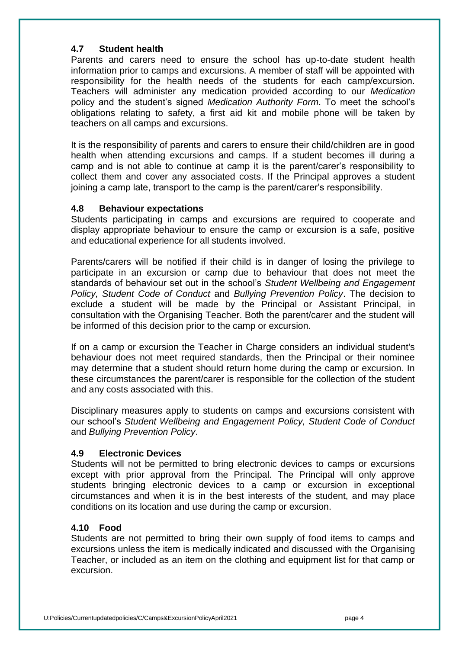### **4.7 Student health**

Parents and carers need to ensure the school has up-to-date student health information prior to camps and excursions. A member of staff will be appointed with responsibility for the health needs of the students for each camp/excursion. Teachers will administer any medication provided according to our *Medication* policy and the student's signed *Medication Authority Form*. To meet the school's obligations relating to safety, a first aid kit and mobile phone will be taken by teachers on all camps and excursions.

It is the responsibility of parents and carers to ensure their child/children are in good health when attending excursions and camps. If a student becomes ill during a camp and is not able to continue at camp it is the parent/carer's responsibility to collect them and cover any associated costs. If the Principal approves a student joining a camp late, transport to the camp is the parent/carer's responsibility.

### **4.8 Behaviour expectations**

Students participating in camps and excursions are required to cooperate and display appropriate behaviour to ensure the camp or excursion is a safe, positive and educational experience for all students involved.

Parents/carers will be notified if their child is in danger of losing the privilege to participate in an excursion or camp due to behaviour that does not meet the standards of behaviour set out in the school's *Student Wellbeing and Engagement Policy, Student Code of Conduct* and *Bullying Prevention Policy*. The decision to exclude a student will be made by the Principal or Assistant Principal, in consultation with the Organising Teacher. Both the parent/carer and the student will be informed of this decision prior to the camp or excursion.

If on a camp or excursion the Teacher in Charge considers an individual student's behaviour does not meet required standards, then the Principal or their nominee may determine that a student should return home during the camp or excursion. In these circumstances the parent/carer is responsible for the collection of the student and any costs associated with this.

Disciplinary measures apply to students on camps and excursions consistent with our school's *Student Wellbeing and Engagement Policy, Student Code of Conduct* and *Bullying Prevention Policy*.

### **4.9 Electronic Devices**

Students will not be permitted to bring electronic devices to camps or excursions except with prior approval from the Principal. The Principal will only approve students bringing electronic devices to a camp or excursion in exceptional circumstances and when it is in the best interests of the student, and may place conditions on its location and use during the camp or excursion.

### **4.10 Food**

Students are not permitted to bring their own supply of food items to camps and excursions unless the item is medically indicated and discussed with the Organising Teacher, or included as an item on the clothing and equipment list for that camp or excursion.